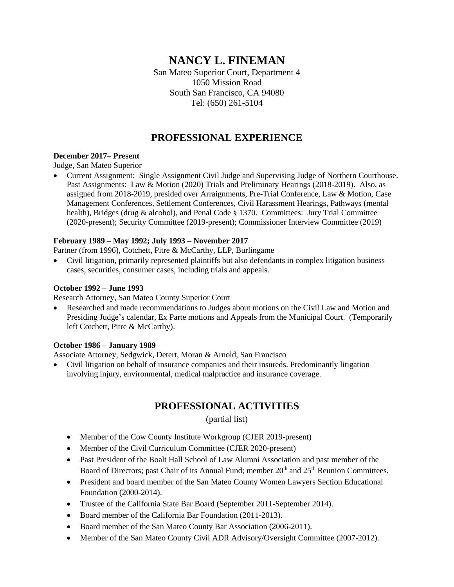# **NANCY L. FINEMAN**

San Mateo Superior Court, Department 4 1050 Mission Road South San Francisco, CA 94080 Tel: (650) 261-5104

## **PROFESSIONAL EXPERIENCE**

#### **December 2017– Present**

Judge, San Mateo Superior

• Current Assignment: Single Assignment Civil Judge and Supervising Judge of Northern Courthouse. Past Assignments: Law & Motion (2020) Trials and Preliminary Hearings (2018-2019). Also, as assigned from 2018-2019, presided over Arraignments, Pre-Trial Conference, Law & Motion, Case Management Conferences, Settlement Conferences, Civil Harassment Hearings, Pathways (mental health), Bridges (drug & alcohol), and Penal Code § 1370. Committees: Jury Trial Committee (2020-present); Security Committee (2019-present); Commissioner Interview Committee (2019)

#### **February 1989 – May 1992; July 1993 – November 2017**

Partner (from 1996), Cotchett, Pitre & McCarthy, LLP, Burlingame

• Civil litigation, primarily represented plaintiffs but also defendants in complex litigation business cases, securities, consumer cases, including trials and appeals.

#### **October 1992 – June 1993**

Research Attorney, San Mateo County Superior Court

• Researched and made recommendations to Judges about motions on the Civil Law and Motion and Presiding Judge's calendar, Ex Parte motions and Appeals from the Municipal Court. (Temporarily left Cotchett, Pitre & McCarthy).

#### **October 1986 – January 1989**

Associate Attorney, Sedgwick, Detert, Moran & Arnold, San Francisco

• Civil litigation on behalf of insurance companies and their insureds. Predominantly litigation involving injury, environmental, medical malpractice and insurance coverage.

### **PROFESSIONAL ACTIVITIES**

(partial list)

- Member of the Cow County Institute Workgroup (CJER 2019-present)
- Member of the Civil Curriculum Committee (CJER 2020-present)
- Past President of the Boalt Hall School of Law Alumni Association and past member of the Board of Directors; past Chair of its Annual Fund; member 20<sup>th</sup> and 25<sup>th</sup> Reunion Committees.
- President and board member of the San Mateo County Women Lawyers Section Educational Foundation (2000-2014).
- Trustee of the California State Bar Board (September 2011-September 2014).
- Board member of the California Bar Foundation (2011-2013).
- Board member of the San Mateo County Bar Association (2006-2011).
- Member of the San Mateo County Civil ADR Advisory/Oversight Committee (2007-2012).